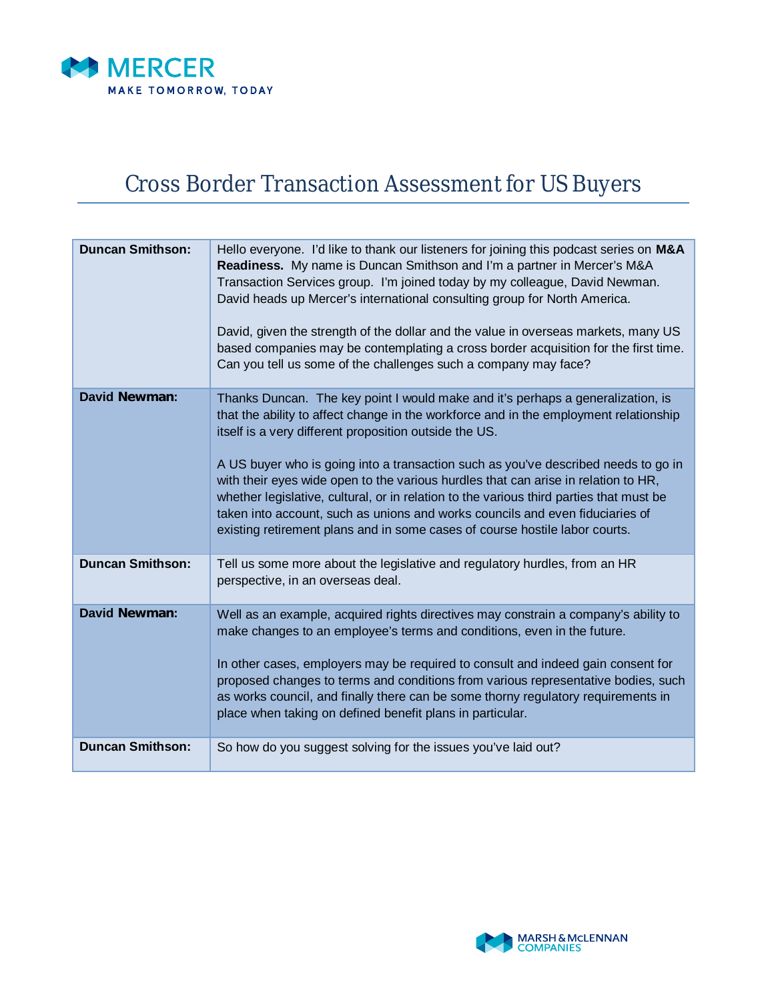

## Cross Border Transaction Assessment for US Buyers

| <b>Duncan Smithson:</b> | Hello everyone. I'd like to thank our listeners for joining this podcast series on M&A<br>Readiness. My name is Duncan Smithson and I'm a partner in Mercer's M&A<br>Transaction Services group. I'm joined today by my colleague, David Newman.<br>David heads up Mercer's international consulting group for North America.<br>David, given the strength of the dollar and the value in overseas markets, many US<br>based companies may be contemplating a cross border acquisition for the first time.<br>Can you tell us some of the challenges such a company may face?                                                                                             |
|-------------------------|---------------------------------------------------------------------------------------------------------------------------------------------------------------------------------------------------------------------------------------------------------------------------------------------------------------------------------------------------------------------------------------------------------------------------------------------------------------------------------------------------------------------------------------------------------------------------------------------------------------------------------------------------------------------------|
| <b>David Newman:</b>    | Thanks Duncan. The key point I would make and it's perhaps a generalization, is<br>that the ability to affect change in the workforce and in the employment relationship<br>itself is a very different proposition outside the US.<br>A US buyer who is going into a transaction such as you've described needs to go in<br>with their eyes wide open to the various hurdles that can arise in relation to HR,<br>whether legislative, cultural, or in relation to the various third parties that must be<br>taken into account, such as unions and works councils and even fiduciaries of<br>existing retirement plans and in some cases of course hostile labor courts. |
| <b>Duncan Smithson:</b> | Tell us some more about the legislative and regulatory hurdles, from an HR<br>perspective, in an overseas deal.                                                                                                                                                                                                                                                                                                                                                                                                                                                                                                                                                           |
| <b>David Newman:</b>    | Well as an example, acquired rights directives may constrain a company's ability to<br>make changes to an employee's terms and conditions, even in the future.<br>In other cases, employers may be required to consult and indeed gain consent for<br>proposed changes to terms and conditions from various representative bodies, such<br>as works council, and finally there can be some thorny regulatory requirements in<br>place when taking on defined benefit plans in particular.                                                                                                                                                                                 |
| <b>Duncan Smithson:</b> | So how do you suggest solving for the issues you've laid out?                                                                                                                                                                                                                                                                                                                                                                                                                                                                                                                                                                                                             |